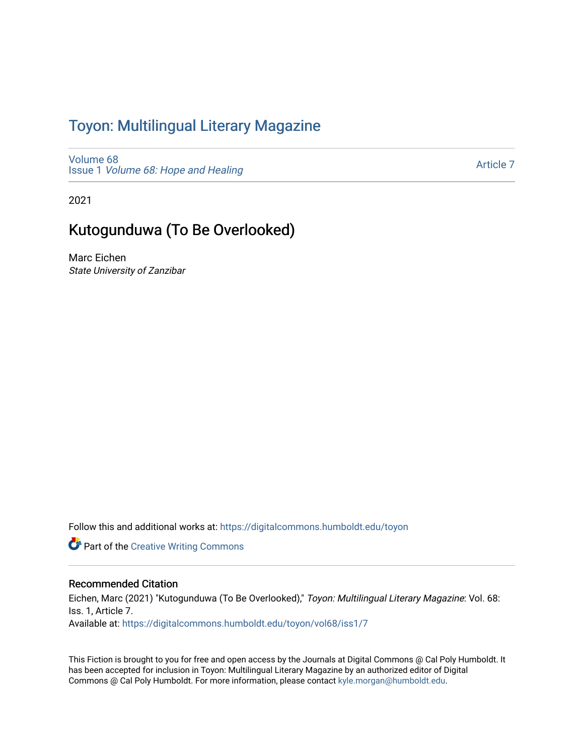## Toyon: Multilingual Literar[y](https://digitalcommons.humboldt.edu/toyon) Magazine

[Volume 68](https://digitalcommons.humboldt.edu/toyon/vol68) Issue 1 [Volume 68: Hope and Healing](https://digitalcommons.humboldt.edu/toyon/vol68/iss1) 

[Article 7](https://digitalcommons.humboldt.edu/toyon/vol68/iss1/7) 

2021

# Kutogunduwa (To Be Overlooked)

Marc Eichen State University of Zanzibar

Follow this and additional works at: [https://digitalcommons.humboldt.edu/toyon](https://digitalcommons.humboldt.edu/toyon?utm_source=digitalcommons.humboldt.edu%2Ftoyon%2Fvol68%2Fiss1%2F7&utm_medium=PDF&utm_campaign=PDFCoverPages)

**Part of the Creative Writing Commons** 

### Recommended Citation

Eichen, Marc (2021) "Kutogunduwa (To Be Overlooked)," Toyon: Multilingual Literary Magazine: Vol. 68: Iss. 1, Article 7. Available at: [https://digitalcommons.humboldt.edu/toyon/vol68/iss1/7](https://digitalcommons.humboldt.edu/toyon/vol68/iss1/7?utm_source=digitalcommons.humboldt.edu%2Ftoyon%2Fvol68%2Fiss1%2F7&utm_medium=PDF&utm_campaign=PDFCoverPages)

This Fiction is brought to you for free and open access by the Journals at Digital Commons @ Cal Poly Humboldt. It has been accepted for inclusion in Toyon: Multilingual Literary Magazine by an authorized editor of Digital Commons @ Cal Poly Humboldt. For more information, please contact [kyle.morgan@humboldt.edu](mailto:kyle.morgan@humboldt.edu).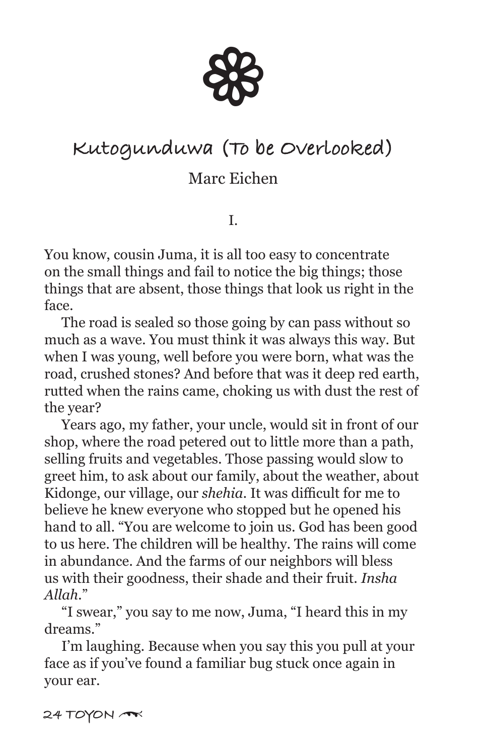

# **Kutogunduwa (To be Overlooked)**

## Marc Eichen

I.

You know, cousin Juma, it is all too easy to concentrate on the small things and fail to notice the big things; those things that are absent, those things that look us right in the face.

 The road is sealed so those going by can pass without so much as a wave. You must think it was always this way. But when I was young, well before you were born, what was the road, crushed stones? And before that was it deep red earth, rutted when the rains came, choking us with dust the rest of the year?

 Years ago, my father, your uncle, would sit in front of our shop, where the road petered out to little more than a path, selling fruits and vegetables. Those passing would slow to greet him, to ask about our family, about the weather, about Kidonge, our village, our *shehia*. It was difficult for me to believe he knew everyone who stopped but he opened his hand to all. "You are welcome to join us. God has been good to us here. The children will be healthy. The rains will come in abundance. And the farms of our neighbors will bless us with their goodness, their shade and their fruit. *Insha Allah*."

 "I swear," you say to me now, Juma, "I heard this in my dreams."

 I'm laughing. Because when you say this you pull at your face as if you've found a familiar bug stuck once again in your ear.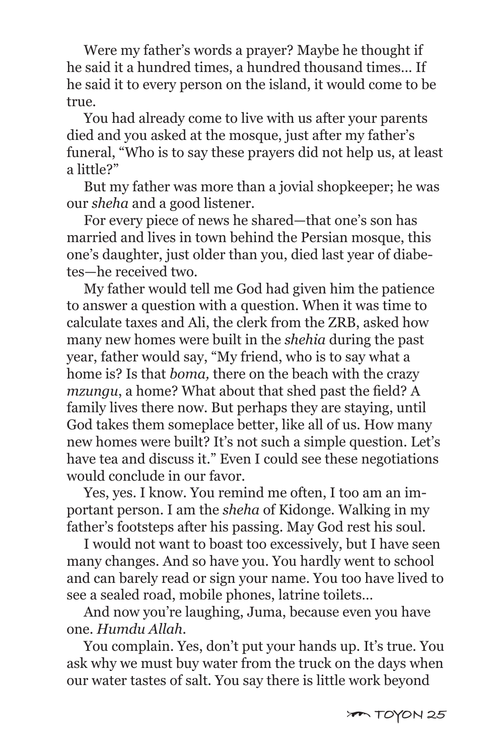Were my father's words a prayer? Maybe he thought if he said it a hundred times, a hundred thousand times… If he said it to every person on the island, it would come to be true.

 You had already come to live with us after your parents died and you asked at the mosque, just after my father's funeral, "Who is to say these prayers did not help us, at least a little?"

 But my father was more than a jovial shopkeeper; he was our *sheha* and a good listener.

 For every piece of news he shared—that one's son has married and lives in town behind the Persian mosque, this one's daughter, just older than you, died last year of diabetes—he received two.

 My father would tell me God had given him the patience to answer a question with a question. When it was time to calculate taxes and Ali, the clerk from the ZRB, asked how many new homes were built in the *shehia* during the past year, father would say, "My friend, who is to say what a home is? Is that *boma,* there on the beach with the crazy *mzungu*, a home? What about that shed past the field? A family lives there now. But perhaps they are staying, until God takes them someplace better, like all of us. How many new homes were built? It's not such a simple question. Let's have tea and discuss it." Even I could see these negotiations would conclude in our favor.

 Yes, yes. I know. You remind me often, I too am an important person. I am the *sheha* of Kidonge. Walking in my father's footsteps after his passing. May God rest his soul.

 I would not want to boast too excessively, but I have seen many changes. And so have you. You hardly went to school and can barely read or sign your name. You too have lived to see a sealed road, mobile phones, latrine toilets…

 And now you're laughing, Juma, because even you have one. *Humdu Allah*.

 You complain. Yes, don't put your hands up. It's true. You ask why we must buy water from the truck on the days when our water tastes of salt. You say there is little work beyond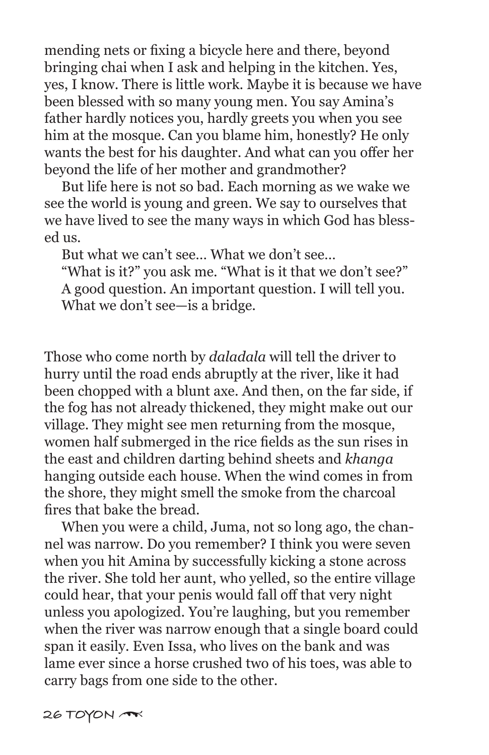mending nets or fixing a bicycle here and there, beyond bringing chai when I ask and helping in the kitchen. Yes, yes, I know. There is little work. Maybe it is because we have been blessed with so many young men. You say Amina's father hardly notices you, hardly greets you when you see him at the mosque. Can you blame him, honestly? He only wants the best for his daughter. And what can you offer her beyond the life of her mother and grandmother?

 But life here is not so bad. Each morning as we wake we see the world is young and green. We say to ourselves that we have lived to see the many ways in which God has blessed us.

But what we can't see… What we don't see…

 "What is it?" you ask me. "What is it that we don't see?" A good question. An important question. I will tell you. What we don't see—is a bridge.

Those who come north by *daladala* will tell the driver to hurry until the road ends abruptly at the river, like it had been chopped with a blunt axe. And then, on the far side, if the fog has not already thickened, they might make out our village. They might see men returning from the mosque, women half submerged in the rice fields as the sun rises in the east and children darting behind sheets and *khanga* hanging outside each house. When the wind comes in from the shore, they might smell the smoke from the charcoal fires that bake the bread.

 When you were a child, Juma, not so long ago, the channel was narrow. Do you remember? I think you were seven when you hit Amina by successfully kicking a stone across the river. She told her aunt, who yelled, so the entire village could hear, that your penis would fall off that very night unless you apologized. You're laughing, but you remember when the river was narrow enough that a single board could span it easily. Even Issa, who lives on the bank and was lame ever since a horse crushed two of his toes, was able to carry bags from one side to the other.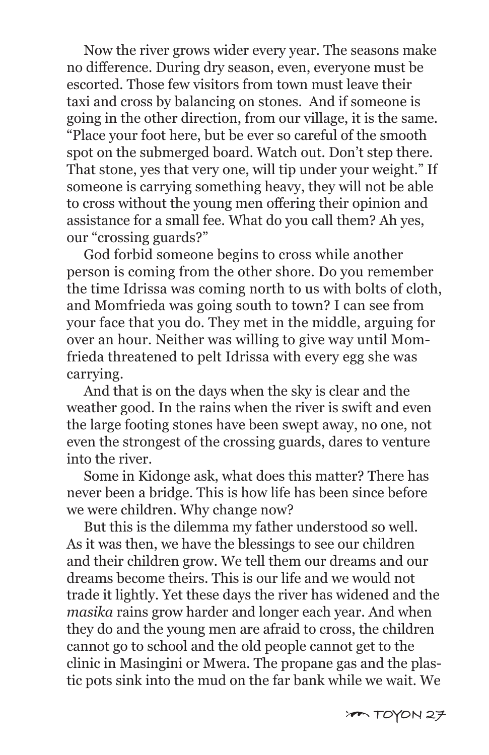Now the river grows wider every year. The seasons make no difference. During dry season, even, everyone must be escorted. Those few visitors from town must leave their taxi and cross by balancing on stones. And if someone is going in the other direction, from our village, it is the same. "Place your foot here, but be ever so careful of the smooth spot on the submerged board. Watch out. Don't step there. That stone, yes that very one, will tip under your weight." If someone is carrying something heavy, they will not be able to cross without the young men offering their opinion and assistance for a small fee. What do you call them? Ah yes, our "crossing guards?"

 God forbid someone begins to cross while another person is coming from the other shore. Do you remember the time Idrissa was coming north to us with bolts of cloth, and Momfrieda was going south to town? I can see from your face that you do. They met in the middle, arguing for over an hour. Neither was willing to give way until Momfrieda threatened to pelt Idrissa with every egg she was carrying.

 And that is on the days when the sky is clear and the weather good. In the rains when the river is swift and even the large footing stones have been swept away, no one, not even the strongest of the crossing guards, dares to venture into the river.

 Some in Kidonge ask, what does this matter? There has never been a bridge. This is how life has been since before we were children. Why change now?

 But this is the dilemma my father understood so well. As it was then, we have the blessings to see our children and their children grow. We tell them our dreams and our dreams become theirs. This is our life and we would not trade it lightly. Yet these days the river has widened and the *masika* rains grow harder and longer each year. And when they do and the young men are afraid to cross, the children cannot go to school and the old people cannot get to the clinic in Masingini or Mwera. The propane gas and the plastic pots sink into the mud on the far bank while we wait. We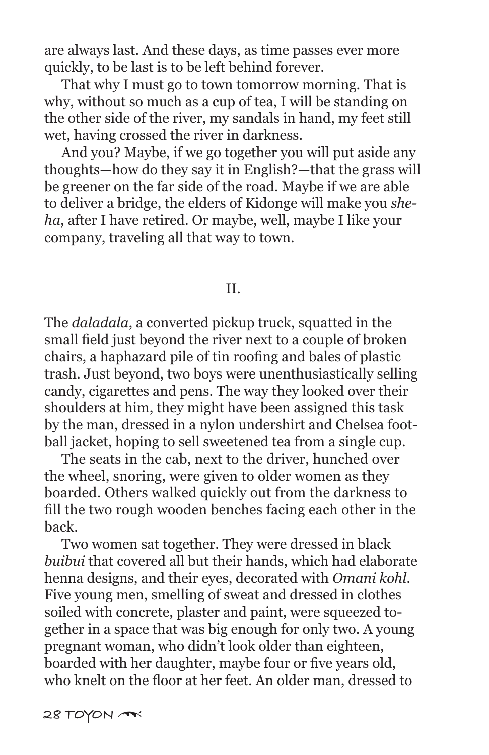are always last. And these days, as time passes ever more quickly, to be last is to be left behind forever.

 That why I must go to town tomorrow morning. That is why, without so much as a cup of tea, I will be standing on the other side of the river, my sandals in hand, my feet still wet, having crossed the river in darkness.

 And you? Maybe, if we go together you will put aside any thoughts—how do they say it in English?—that the grass will be greener on the far side of the road. Maybe if we are able to deliver a bridge, the elders of Kidonge will make you *sheha*, after I have retired. Or maybe, well, maybe I like your company, traveling all that way to town.

II.

The *daladala*, a converted pickup truck, squatted in the small field just beyond the river next to a couple of broken chairs, a haphazard pile of tin roofing and bales of plastic trash. Just beyond, two boys were unenthusiastically selling candy, cigarettes and pens. The way they looked over their shoulders at him, they might have been assigned this task by the man, dressed in a nylon undershirt and Chelsea football jacket, hoping to sell sweetened tea from a single cup.

 The seats in the cab, next to the driver, hunched over the wheel, snoring, were given to older women as they boarded. Others walked quickly out from the darkness to fill the two rough wooden benches facing each other in the back.

 Two women sat together. They were dressed in black *buibui* that covered all but their hands, which had elaborate henna designs, and their eyes, decorated with *Omani kohl*. Five young men, smelling of sweat and dressed in clothes soiled with concrete, plaster and paint, were squeezed together in a space that was big enough for only two. A young pregnant woman, who didn't look older than eighteen, boarded with her daughter, maybe four or five years old, who knelt on the floor at her feet. An older man, dressed to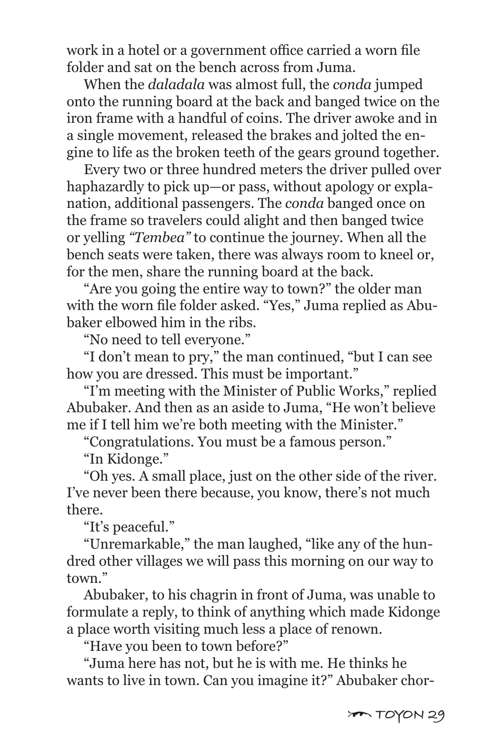work in a hotel or a government office carried a worn file folder and sat on the bench across from Juma.

 When the *daladala* was almost full, the *conda* jumped onto the running board at the back and banged twice on the iron frame with a handful of coins. The driver awoke and in a single movement, released the brakes and jolted the engine to life as the broken teeth of the gears ground together.

 Every two or three hundred meters the driver pulled over haphazardly to pick up—or pass, without apology or explanation, additional passengers. The *conda* banged once on the frame so travelers could alight and then banged twice or yelling *"Tembea"* to continue the journey. When all the bench seats were taken, there was always room to kneel or, for the men, share the running board at the back.

 "Are you going the entire way to town?" the older man with the worn file folder asked. "Yes," Juma replied as Abubaker elbowed him in the ribs.

"No need to tell everyone."

 "I don't mean to pry," the man continued, "but I can see how you are dressed. This must be important."

 "I'm meeting with the Minister of Public Works," replied Abubaker. And then as an aside to Juma, "He won't believe me if I tell him we're both meeting with the Minister."

"Congratulations. You must be a famous person."

"In Kidonge."

 "Oh yes. A small place, just on the other side of the river. I've never been there because, you know, there's not much there.

"It's peaceful."

 "Unremarkable," the man laughed, "like any of the hundred other villages we will pass this morning on our way to town."

 Abubaker, to his chagrin in front of Juma, was unable to formulate a reply, to think of anything which made Kidonge a place worth visiting much less a place of renown.

"Have you been to town before?"

 "Juma here has not, but he is with me. He thinks he wants to live in town. Can you imagine it?" Abubaker chor-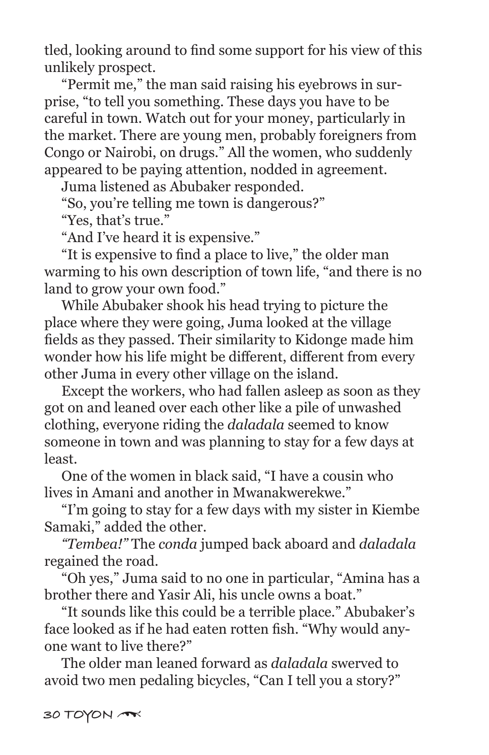tled, looking around to find some support for his view of this unlikely prospect.

 "Permit me," the man said raising his eyebrows in surprise, "to tell you something. These days you have to be careful in town. Watch out for your money, particularly in the market. There are young men, probably foreigners from Congo or Nairobi, on drugs." All the women, who suddenly appeared to be paying attention, nodded in agreement.

Juma listened as Abubaker responded.

"So, you're telling me town is dangerous?"

"Yes, that's true."

"And I've heard it is expensive."

 "It is expensive to find a place to live," the older man warming to his own description of town life, "and there is no land to grow your own food."

 While Abubaker shook his head trying to picture the place where they were going, Juma looked at the village fields as they passed. Their similarity to Kidonge made him wonder how his life might be different, different from every other Juma in every other village on the island.

 Except the workers, who had fallen asleep as soon as they got on and leaned over each other like a pile of unwashed clothing, everyone riding the *daladala* seemed to know someone in town and was planning to stay for a few days at least.

 One of the women in black said, "I have a cousin who lives in Amani and another in Mwanakwerekwe."

 "I'm going to stay for a few days with my sister in Kiembe Samaki," added the other.

 *"Tembea!"* The *conda* jumped back aboard and *daladala*  regained the road.

 "Oh yes," Juma said to no one in particular, "Amina has a brother there and Yasir Ali, his uncle owns a boat."

 "It sounds like this could be a terrible place." Abubaker's face looked as if he had eaten rotten fish. "Why would anyone want to live there?"

 The older man leaned forward as *daladala* swerved to avoid two men pedaling bicycles, "Can I tell you a story?"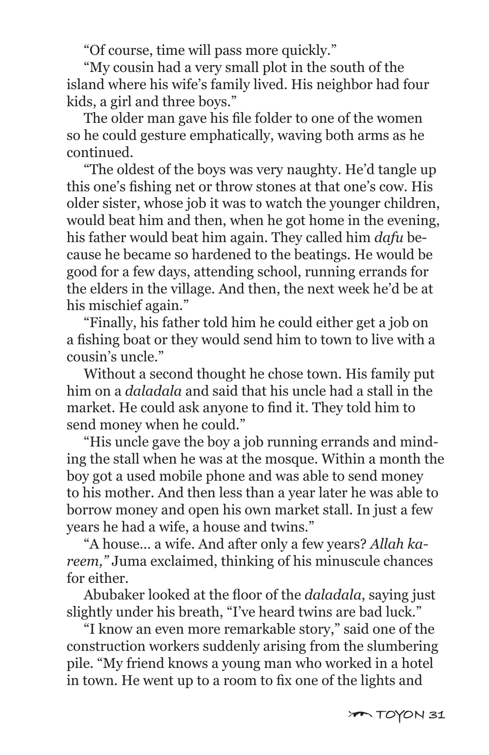"Of course, time will pass more quickly."

 "My cousin had a very small plot in the south of the island where his wife's family lived. His neighbor had four kids, a girl and three boys."

 The older man gave his file folder to one of the women so he could gesture emphatically, waving both arms as he continued.

 "The oldest of the boys was very naughty. He'd tangle up this one's fishing net or throw stones at that one's cow. His older sister, whose job it was to watch the younger children, would beat him and then, when he got home in the evening, his father would beat him again. They called him *dafu* because he became so hardened to the beatings. He would be good for a few days, attending school, running errands for the elders in the village. And then, the next week he'd be at his mischief again."

 "Finally, his father told him he could either get a job on a fishing boat or they would send him to town to live with a cousin's uncle."

 Without a second thought he chose town. His family put him on a *daladala* and said that his uncle had a stall in the market. He could ask anyone to find it. They told him to send money when he could."

 "His uncle gave the boy a job running errands and minding the stall when he was at the mosque. Within a month the boy got a used mobile phone and was able to send money to his mother. And then less than a year later he was able to borrow money and open his own market stall. In just a few years he had a wife, a house and twins."

 "A house… a wife. And after only a few years? *Allah kareem,"* Juma exclaimed, thinking of his minuscule chances for either.

 Abubaker looked at the floor of the *daladala*, saying just slightly under his breath, "I've heard twins are bad luck."

 "I know an even more remarkable story," said one of the construction workers suddenly arising from the slumbering pile. "My friend knows a young man who worked in a hotel in town. He went up to a room to fix one of the lights and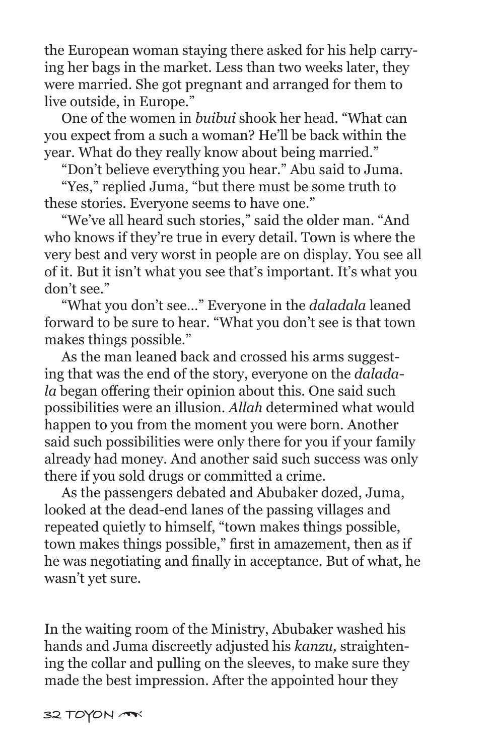the European woman staying there asked for his help carrying her bags in the market. Less than two weeks later, they were married. She got pregnant and arranged for them to live outside, in Europe."

 One of the women in *buibui* shook her head. "What can you expect from a such a woman? He'll be back within the year. What do they really know about being married."

"Don't believe everything you hear." Abu said to Juma.

 "Yes," replied Juma, "but there must be some truth to these stories. Everyone seems to have one."

 "We've all heard such stories," said the older man. "And who knows if they're true in every detail. Town is where the very best and very worst in people are on display. You see all of it. But it isn't what you see that's important. It's what you don't see."

 "What you don't see…" Everyone in the *daladala* leaned forward to be sure to hear. "What you don't see is that town makes things possible."

 As the man leaned back and crossed his arms suggesting that was the end of the story, everyone on the *daladala* began offering their opinion about this. One said such possibilities were an illusion. *Allah* determined what would happen to you from the moment you were born. Another said such possibilities were only there for you if your family already had money. And another said such success was only there if you sold drugs or committed a crime.

 As the passengers debated and Abubaker dozed, Juma, looked at the dead-end lanes of the passing villages and repeated quietly to himself, "town makes things possible, town makes things possible," first in amazement, then as if he was negotiating and finally in acceptance. But of what, he wasn't yet sure.

In the waiting room of the Ministry, Abubaker washed his hands and Juma discreetly adjusted his *kanzu,* straightening the collar and pulling on the sleeves, to make sure they made the best impression. After the appointed hour they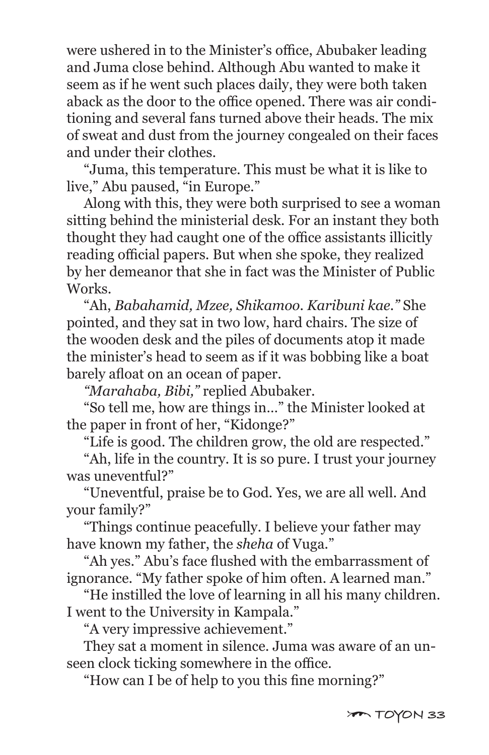were ushered in to the Minister's office, Abubaker leading and Juma close behind. Although Abu wanted to make it seem as if he went such places daily, they were both taken aback as the door to the office opened. There was air conditioning and several fans turned above their heads. The mix of sweat and dust from the journey congealed on their faces and under their clothes.

 "Juma, this temperature. This must be what it is like to live," Abu paused, "in Europe."

 Along with this, they were both surprised to see a woman sitting behind the ministerial desk. For an instant they both thought they had caught one of the office assistants illicitly reading official papers. But when she spoke, they realized by her demeanor that she in fact was the Minister of Public Works.

 "Ah, *Babahamid, Mzee, Shikamoo. Karibuni kae."* She pointed, and they sat in two low, hard chairs. The size of the wooden desk and the piles of documents atop it made the minister's head to seem as if it was bobbing like a boat barely afloat on an ocean of paper.

*"Marahaba, Bibi,"* replied Abubaker.

 "So tell me, how are things in…" the Minister looked at the paper in front of her, "Kidonge?"

"Life is good. The children grow, the old are respected."

 "Ah, life in the country. It is so pure. I trust your journey was uneventful?"

 "Uneventful, praise be to God. Yes, we are all well. And your family?"

 "Things continue peacefully. I believe your father may have known my father, the *sheha* of Vuga."

 "Ah yes." Abu's face flushed with the embarrassment of ignorance. "My father spoke of him often. A learned man."

 "He instilled the love of learning in all his many children. I went to the University in Kampala."

"A very impressive achievement."

 They sat a moment in silence. Juma was aware of an unseen clock ticking somewhere in the office.

"How can I be of help to you this fine morning?"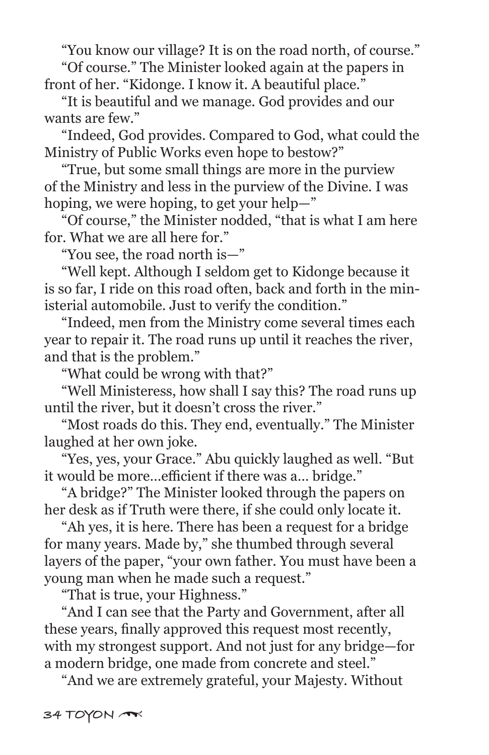"You know our village? It is on the road north, of course."

 "Of course." The Minister looked again at the papers in front of her. "Kidonge. I know it. A beautiful place."

 "It is beautiful and we manage. God provides and our wants are few."

 "Indeed, God provides. Compared to God, what could the Ministry of Public Works even hope to bestow?"

 "True, but some small things are more in the purview of the Ministry and less in the purview of the Divine. I was hoping, we were hoping, to get your help—"

 "Of course," the Minister nodded, "that is what I am here for. What we are all here for."

"You see, the road north is—"

 "Well kept. Although I seldom get to Kidonge because it is so far, I ride on this road often, back and forth in the ministerial automobile. Just to verify the condition."

 "Indeed, men from the Ministry come several times each year to repair it. The road runs up until it reaches the river, and that is the problem."

"What could be wrong with that?"

 "Well Ministeress, how shall I say this? The road runs up until the river, but it doesn't cross the river."

 "Most roads do this. They end, eventually." The Minister laughed at her own joke.

 "Yes, yes, your Grace." Abu quickly laughed as well. "But it would be more…efficient if there was a… bridge."

 "A bridge?" The Minister looked through the papers on her desk as if Truth were there, if she could only locate it.

 "Ah yes, it is here. There has been a request for a bridge for many years. Made by," she thumbed through several layers of the paper, "your own father. You must have been a young man when he made such a request."

"That is true, your Highness."

 "And I can see that the Party and Government, after all these years, finally approved this request most recently, with my strongest support. And not just for any bridge—for a modern bridge, one made from concrete and steel."

"And we are extremely grateful, your Majesty. Without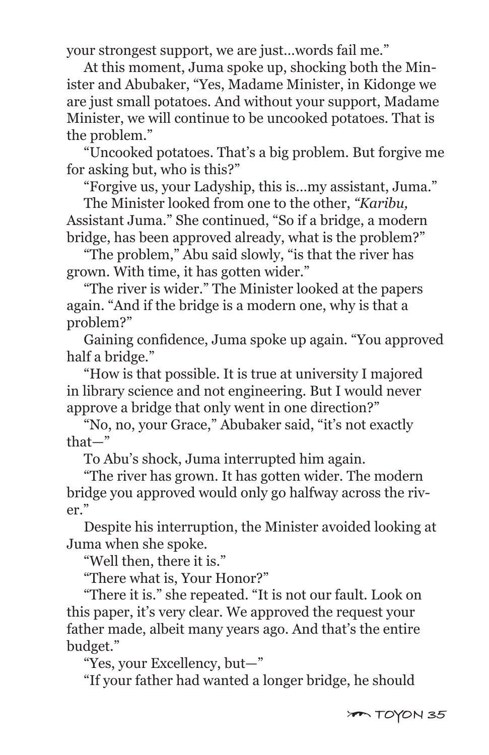your strongest support, we are just…words fail me."

 At this moment, Juma spoke up, shocking both the Minister and Abubaker, "Yes, Madame Minister, in Kidonge we are just small potatoes. And without your support, Madame Minister, we will continue to be uncooked potatoes. That is the problem."

 "Uncooked potatoes. That's a big problem. But forgive me for asking but, who is this?"

"Forgive us, your Ladyship, this is…my assistant, Juma."

 The Minister looked from one to the other, *"Karibu,* Assistant Juma." She continued, "So if a bridge, a modern bridge, has been approved already, what is the problem?"

 "The problem," Abu said slowly, "is that the river has grown. With time, it has gotten wider."

 "The river is wider." The Minister looked at the papers again. "And if the bridge is a modern one, why is that a problem?"

 Gaining confidence, Juma spoke up again. "You approved half a bridge."

 "How is that possible. It is true at university I majored in library science and not engineering. But I would never approve a bridge that only went in one direction?"

 "No, no, your Grace," Abubaker said, "it's not exactly that—"

To Abu's shock, Juma interrupted him again.

 "The river has grown. It has gotten wider. The modern bridge you approved would only go halfway across the river."

 Despite his interruption, the Minister avoided looking at Juma when she spoke.

"Well then, there it is."

"There what is, Your Honor?"

 "There it is." she repeated. "It is not our fault. Look on this paper, it's very clear. We approved the request your father made, albeit many years ago. And that's the entire budget."

"Yes, your Excellency, but—"

"If your father had wanted a longer bridge, he should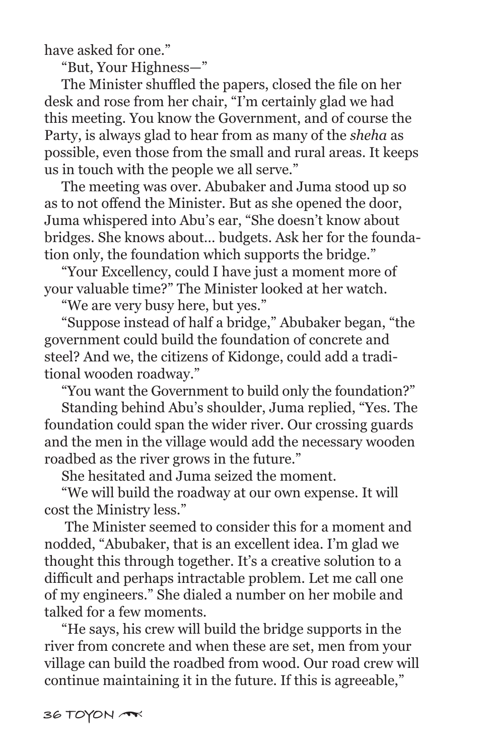have asked for one."

"But, Your Highness—"

 The Minister shuffled the papers, closed the file on her desk and rose from her chair, "I'm certainly glad we had this meeting. You know the Government, and of course the Party, is always glad to hear from as many of the *sheha* as possible, even those from the small and rural areas. It keeps us in touch with the people we all serve."

 The meeting was over. Abubaker and Juma stood up so as to not offend the Minister. But as she opened the door, Juma whispered into Abu's ear, "She doesn't know about bridges. She knows about… budgets. Ask her for the foundation only, the foundation which supports the bridge."

 "Your Excellency, could I have just a moment more of your valuable time?" The Minister looked at her watch.

"We are very busy here, but yes."

 "Suppose instead of half a bridge," Abubaker began, "the government could build the foundation of concrete and steel? And we, the citizens of Kidonge, could add a traditional wooden roadway."

"You want the Government to build only the foundation?"

 Standing behind Abu's shoulder, Juma replied, "Yes. The foundation could span the wider river. Our crossing guards and the men in the village would add the necessary wooden roadbed as the river grows in the future."

She hesitated and Juma seized the moment.

 "We will build the roadway at our own expense. It will cost the Ministry less."

 The Minister seemed to consider this for a moment and nodded, "Abubaker, that is an excellent idea. I'm glad we thought this through together. It's a creative solution to a difficult and perhaps intractable problem. Let me call one of my engineers." She dialed a number on her mobile and talked for a few moments.

 "He says, his crew will build the bridge supports in the river from concrete and when these are set, men from your village can build the roadbed from wood. Our road crew will continue maintaining it in the future. If this is agreeable,"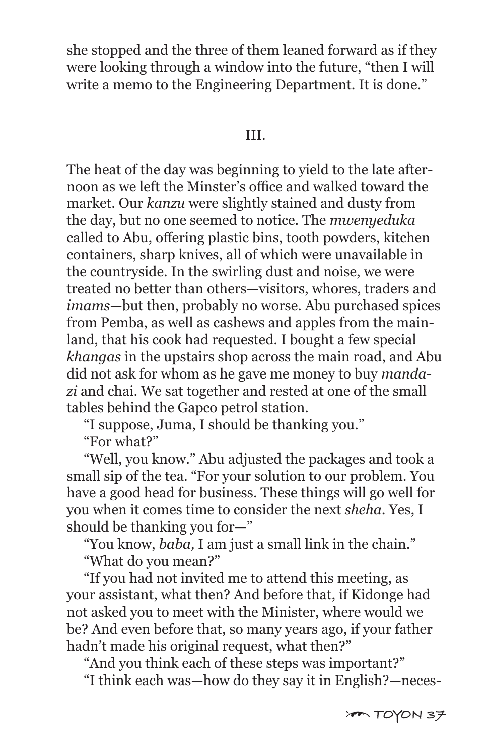she stopped and the three of them leaned forward as if they were looking through a window into the future, "then I will write a memo to the Engineering Department. It is done."

#### III.

The heat of the day was beginning to yield to the late afternoon as we left the Minster's office and walked toward the market. Our *kanzu* were slightly stained and dusty from the day, but no one seemed to notice. The *mwenyeduka* called to Abu, offering plastic bins, tooth powders, kitchen containers, sharp knives, all of which were unavailable in the countryside. In the swirling dust and noise, we were treated no better than others—visitors, whores, traders and *imams*—but then, probably no worse. Abu purchased spices from Pemba, as well as cashews and apples from the mainland, that his cook had requested. I bought a few special *khangas* in the upstairs shop across the main road, and Abu did not ask for whom as he gave me money to buy *mandazi* and chai. We sat together and rested at one of the small tables behind the Gapco petrol station.

"I suppose, Juma, I should be thanking you."

"For what?"

 "Well, you know." Abu adjusted the packages and took a small sip of the tea. "For your solution to our problem. You have a good head for business. These things will go well for you when it comes time to consider the next *sheha.* Yes, I should be thanking you for—"

"You know, *baba,* I am just a small link in the chain."

"What do you mean?"

 "If you had not invited me to attend this meeting, as your assistant, what then? And before that, if Kidonge had not asked you to meet with the Minister, where would we be? And even before that, so many years ago, if your father hadn't made his original request, what then?"

 "And you think each of these steps was important?" "I think each was—how do they say it in English?—neces-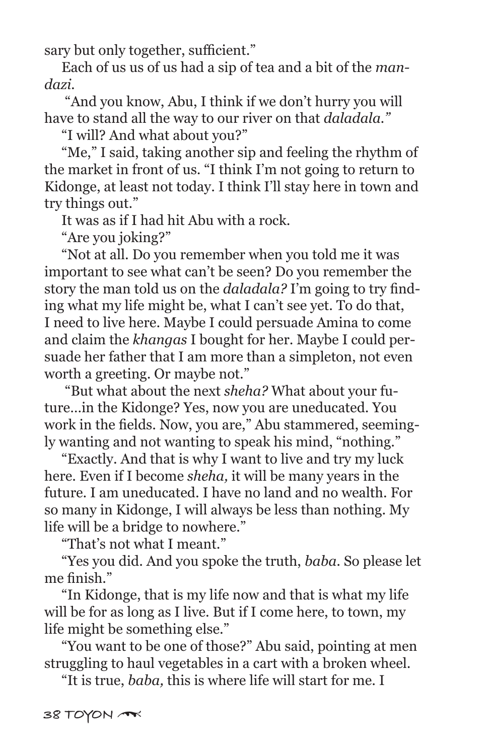sary but only together, sufficient."

 Each of us us of us had a sip of tea and a bit of the *mandazi.*

 "And you know, Abu, I think if we don't hurry you will have to stand all the way to our river on that *daladala."*

"I will? And what about you?"

 "Me," I said, taking another sip and feeling the rhythm of the market in front of us. "I think I'm not going to return to Kidonge, at least not today. I think I'll stay here in town and try things out."

It was as if I had hit Abu with a rock.

"Are you joking?"

 "Not at all. Do you remember when you told me it was important to see what can't be seen? Do you remember the story the man told us on the *daladala?* I'm going to try finding what my life might be, what I can't see yet. To do that, I need to live here. Maybe I could persuade Amina to come and claim the *khangas* I bought for her. Maybe I could persuade her father that I am more than a simpleton, not even worth a greeting. Or maybe not."

 "But what about the next *sheha?* What about your future…in the Kidonge? Yes, now you are uneducated. You work in the fields. Now, you are," Abu stammered, seemingly wanting and not wanting to speak his mind, "nothing."

 "Exactly. And that is why I want to live and try my luck here. Even if I become *sheha,* it will be many years in the future. I am uneducated. I have no land and no wealth. For so many in Kidonge, I will always be less than nothing. My life will be a bridge to nowhere."

"That's not what I meant."

 "Yes you did. And you spoke the truth, *baba.* So please let me finish."

 "In Kidonge, that is my life now and that is what my life will be for as long as I live. But if I come here, to town, my life might be something else."

 "You want to be one of those?" Abu said, pointing at men struggling to haul vegetables in a cart with a broken wheel.

"It is true, *baba,* this is where life will start for me. I